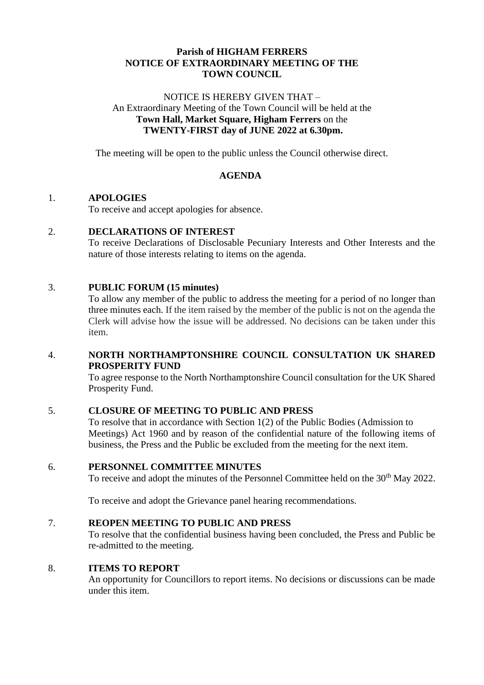# **Parish of HIGHAM FERRERS NOTICE OF EXTRAORDINARY MEETING OF THE TOWN COUNCIL**

### NOTICE IS HEREBY GIVEN THAT – An Extraordinary Meeting of the Town Council will be held at the **Town Hall, Market Square, Higham Ferrers** on the **TWENTY-FIRST day of JUNE 2022 at 6.30pm.**

The meeting will be open to the public unless the Council otherwise direct.

## **AGENDA**

## 1. **APOLOGIES**

To receive and accept apologies for absence.

### 2. **DECLARATIONS OF INTEREST**

To receive Declarations of Disclosable Pecuniary Interests and Other Interests and the nature of those interests relating to items on the agenda.

### 3. **PUBLIC FORUM (15 minutes)**

To allow any member of the public to address the meeting for a period of no longer than three minutes each. If the item raised by the member of the public is not on the agenda the Clerk will advise how the issue will be addressed. No decisions can be taken under this item.

### 4. **NORTH NORTHAMPTONSHIRE COUNCIL CONSULTATION UK SHARED PROSPERITY FUND**

To agree response to the North Northamptonshire Council consultation for the UK Shared Prosperity Fund.

### 5. **CLOSURE OF MEETING TO PUBLIC AND PRESS**

To resolve that in accordance with Section 1(2) of the Public Bodies (Admission to Meetings) Act 1960 and by reason of the confidential nature of the following items of business, the Press and the Public be excluded from the meeting for the next item.

### 6. **PERSONNEL COMMITTEE MINUTES**

To receive and adopt the minutes of the Personnel Committee held on the 30<sup>th</sup> May 2022.

To receive and adopt the Grievance panel hearing recommendations.

### 7. **REOPEN MEETING TO PUBLIC AND PRESS**

To resolve that the confidential business having been concluded, the Press and Public be re-admitted to the meeting.

# 8. **ITEMS TO REPORT**

An opportunity for Councillors to report items. No decisions or discussions can be made under this item.